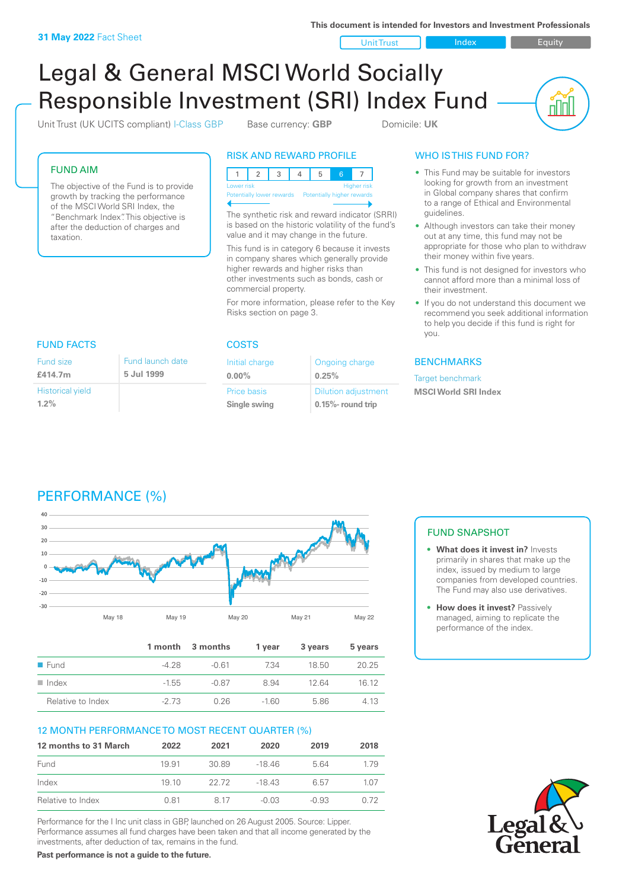**This document is intended for Investors and Investment Professionals**

Unit Trust Index I Equity

<u>nini</u>

# Legal & General MSCI World Socially Responsible Investment (SRI) Index Fund

Unit Trust (UK UCITS compliant) I-Class GBP Base currency: **GBP** Domicile: UK

FUND AIM

The objective of the Fund is to provide growth by tracking the performance of the MSCI World SRI Index, the "Benchmark Index". This objective is after the deduction of charges and taxation.

FUND FACTS COSTS

#### RISK AND REWARD PROFILE



The synthetic risk and reward indicator (SRRI) is based on the historic volatility of the fund's value and it may change in the future.

This fund is in category 6 because it invests in company shares which generally provide higher rewards and higher risks than other investments such as bonds, cash or commercial property.

For more information, please refer to the Key Risks section on page 3.

Ongoing charge

Dilution adjustment **0.15%- round trip**

**0.25%**

Initial charge **0.00%**

Price basis **Single swing**

#### WHO IS THIS FUND FOR?

- This Fund may be suitable for investors looking for growth from an investment in Global company shares that confirm to a range of Ethical and Environmental guidelines.
- Although investors can take their money out at any time, this fund may not be appropriate for those who plan to withdraw their money within five years.
- This fund is not designed for investors who cannot afford more than a minimal loss of their investment.
- If you do not understand this document we recommend you seek additional information to help you decide if this fund is right for you.

#### **BENCHMARKS**

Target benchmark **MSCI World SRI Index**

#### Fund size **£414.7m** Fund launch date **5 Jul 1999**

Historical yield **1.2%**

## PERFORMANCE (%)



|                      |         | 1 month 3 months | 1 year | 3 years | 5 years |
|----------------------|---------|------------------|--------|---------|---------|
| $\blacksquare$ Fund  | -4.28   | -0.61            | 734    | 18.50   | 20.25   |
| $\blacksquare$ Index | $-1.55$ | -0.87            | 8.94   | 12.64   | 16 12   |
| Relative to Index    | $-273$  | 0.26             | $-160$ | 5.86    | 4.13    |

#### 12 MONTH PERFORMANCE TO MOST RECENT QUARTER (%)

| 12 months to 31 March | 2022  | 2021  | 2020   | 2019    | 2018 |
|-----------------------|-------|-------|--------|---------|------|
| Fund                  | 19 91 | 30.89 | -18 46 | 5.64    | 179  |
| Index                 | 19 10 | 22.72 | -18 43 | 6.57    | 1.07 |
| Relative to Index     | 0.81  | 8.17  | -0.03  | $-0.93$ | 0.72 |

Performance for the I Inc unit class in GBP, launched on 26 August 2005. Source: Lipper. Performance assumes all fund charges have been taken and that all income generated by the investments, after deduction of tax, remains in the fund.

**Past performance is not a guide to the future.**

#### FUND SNAPSHOT

- **• What does it invest in?** Invests primarily in shares that make up the index, issued by medium to large companies from developed countries. The Fund may also use derivatives.
- **• How does it invest?** Passively managed, aiming to replicate the performance of the index.

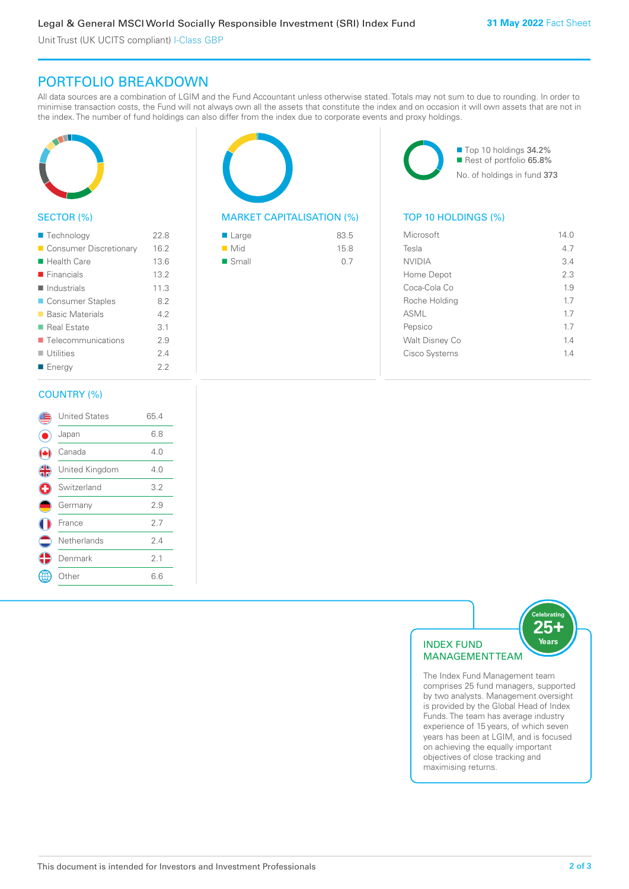Unit Trust (UK UCITS compliant) I-Class GBP

### PORTFOLIO BREAKDOWN

All data sources are a combination of LGIM and the Fund Accountant unless otherwise stated. Totals may not sum to due to rounding. In order to minimise transaction costs, the Fund will not always own all the assets that constitute the index and on occasion it will own assets that are not in the index. The number of fund holdings can also differ from the index due to corporate events and proxy holdings.



#### SECTOR (%)

| ■ Technology                      | 22.8 |
|-----------------------------------|------|
| Consumer Discretionary            | 16.2 |
| ■ Health Care                     | 13.6 |
| $\blacksquare$ Financials         | 13.2 |
| $\blacksquare$ Industrials        | 11.3 |
| ■ Consumer Staples                | 8.2  |
| ■ Basic Materials                 | 42   |
| ■ Real Estate                     | 3.1  |
| $\blacksquare$ Telecommunications | 2.9  |
| $\blacksquare$ Utilities          | 24   |
| ■ Energy                          | フフ   |
|                                   |      |

#### COUNTRY (%)

|   | <b>United States</b> | 65.4 |  |
|---|----------------------|------|--|
|   | Japan                | 6.8  |  |
|   | Canada               | 4.0  |  |
| 4 | United Kingdom       | 4.0  |  |
| O | Switzerland          | 3.2  |  |
|   | Germany              | 2.9  |  |
|   | France               | 2.7  |  |
|   | Netherlands          | 2.4  |  |
|   | Denmark              | 2.1  |  |
|   | Other                | 6.6  |  |
|   |                      |      |  |



#### MARKET CAPITALISATION (%) TOP 10 HOLDINGS (%)

| ■ Large              | 83.5 |
|----------------------|------|
| $\blacksquare$ Mid   | 15.8 |
| $\blacksquare$ Small | 0.7  |

■ Top 10 holdings 34.2% Rest of portfolio 65.8% No. of holdings in fund 373

| Microsoft             | 14.0 |
|-----------------------|------|
| Tesla                 | 4.7  |
| <b>NVIDIA</b>         | 3.4  |
| Home Depot            | 2.3  |
| Coca-Cola Co          | 1.9  |
| Roche Holding         | 1.7  |
| ASML                  | 1.7  |
| Pepsico               | 1.7  |
| <b>Walt Disney Co</b> | 14   |
| Cisco Systems         | 1.4  |
|                       |      |



The Index Fund Management team comprises 25 fund managers, supported by two analysts. Management oversight is provided by the Global Head of Index Funds. The team has average industry experience of 15 years, of which seven years has been at LGIM, and is focused on achieving the equally important objectives of close tracking and maximising returns.